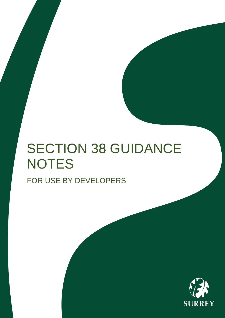## SECTION 38 GUIDANCE **NOTES** FOR USE BY DEVELOPERS

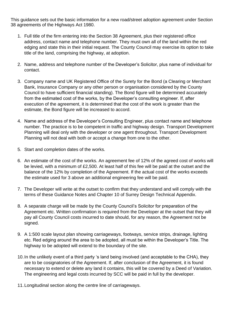This guidance sets out the basic information for a new road/street adoption agreement under Section 38 agreements of the Highways Act 1980.

- 1. Full title of the firm entering into the Section 38 Agreement, plus their registered office address, contact name and telephone number. They must own all of the land within the red edging and state this in their initial request. The County Council may exercise its option to take title of the land, comprising the highway, at adoption.
- 2. Name, address and telephone number of the Developer's Solicitor, plus name of individual for contact.
- 3. Company name and UK Registered Office of the Surety for the Bond (a Clearing or Merchant Bank, Insurance Company or any other person or organisation considered by the County Council to have sufficient financial standing). The Bond figure will be determined accurately from the estimated cost of the works, by the Developer's consulting engineer. If, after execution of the agreement, it is determined that the cost of the work is greater than the estimate, the Bond figure will be increased to accord.
- 4. Name and address of the Developer's Consulting Engineer, plus contact name and telephone number. The practice is to be competent in traffic and highway design. Transport Development Planning will deal only with the developer or one agent throughout. Transport Development Planning will not deal with both or accept a change from one to the other.
- 5. Start and completion dates of the works.
- 6. An estimate of the cost of the works. An agreement fee of 12% of the agreed cost of works will be levied, with a minimum of £2,500. At least half of this fee will be paid at the outset and the balance of the 12% by completion of the Agreement. If the actual cost of the works exceeds the estimate used for 3 above an additional engineering fee will be paid.
- 7. The Developer will write at the outset to confirm that they understand and will comply with the terms of these Guidance Notes and Chapter 10 of Surrey Design Technical Appendix.
- 8. A separate charge will be made by the County Council's Solicitor for preparation of the Agreement etc. Written confirmation is required from the Developer at the outset that they will pay all County Council costs incurred to date should, for any reason, the Agreement not be signed.
- 9. A 1:500 scale layout plan showing carriageways, footways, service strips, drainage, lighting etc. Red edging around the area to be adopted, all must be within the Developer's Title. The highway to be adopted will extend to the boundary of the site.
- 10.In the unlikely event of a third party 's land being involved (and acceptable to the CHA), they are to be cosignatories of the Agreement. If, after conclusion of the Agreement, it is found necessary to extend or delete any land it contains, this will be covered by a Deed of Variation. The engineering and legal costs incurred by SCC will be paid in full by the developer.
- 11.Longitudinal section along the centre line of carriageways.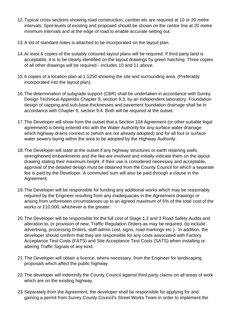- 12.Typical cross sections showing road construction, camber etc are required at 10 or 20 metre intervals. Spot levels of existing and proposed should be shown on the centre line at 20 metre minimum intervals and at the edge of road to enable accurate setting out.
- 13.A list of standard notes is attached to be incorporated on the layout plan.
- 14.At least 6 copies of the suitably coloured layout plans will be required. If third party land is acceptable, it is to be clearly identified on the layout drawings by green hatching. Three copies of all other drawings will be required - includes 10 and 11 above.
- 15.6 copies of a location plan at 1:1250 showing the site and surrounding area. (Preferably incorporated into the layout plan).
- 16.The determination of subgrade support (CBR) shall be undertaken in accordance with Surrey Design Technical Appendix Chapter 9, section 9.3, by an independent laboratory. Foundation design of capping and sub-base thicknesses and pavement foundation drainage shall be in accordance with Chapter 9, section 9.4. Both will be required at the outset.
- 17.The Developer will show from the outset that a Section 104 Agreement (or other suitable legal agreement) is being entered into with the Water Authority for any surface water drainage which highway drains connect to (which are not already adopted) and for all foul or surface water sewers laying within the area to be adopted by the Highway Authority.
- 18.The Developer will state at the outset if any highway structures or earth retaining walls, strengthened embankments and the like are involved and initially indicate them on the layout drawing stating their maximum height. If their use is considered necessary and acceptable, approval of the detailed design must be obtained from the County Council for which a separate fee is paid by the Developer. A commuted sum will also be paid through a clause in the Agreement.
- 19.The Developer will be responsible for funding any additional works which may be reasonably required by the Engineer resulting from any inadequacies in the Agreement drawings or arising from unforeseen circumstances up to an agreed maximum of 5% of the total cost of the works or £10,000, whichever is the greater.
- 20.The Developer will be responsible for the full cost of Stage 1,2 and 3 Road Safety Audits and alteration to, or provision of new, Traffic Regulation Orders as may be required, (to include advertising, processing Orders, staff admin cost, signs, road markings etc.). In addition, the developer should confirm that they are responsible for any costs associated with Factory Acceptance Test Costs (FATS) and Site Acceptance Test Costs (SATS) when installing or altering Traffic Signals of any kind.
- 21.The Developer will obtain a licence, where necessary, from the Engineer for landscaping proposals which affect the public highway.
- 22.The developer will indemnify the County Council against third party claims on all areas of work which are on the existing highway.
- 23.Separately from the Agreement, the developer shall be responsible for applying for and gaining a permit from Surrey County Council's Street Works Team in order to implement the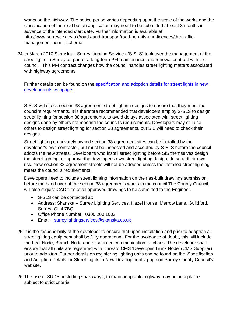works on the highway. The notice period varies depending upon the scale of the works and the classification of the road but an application may need to be submitted at least 3 months in advance of the intended start date. Further information is available at http://www.surreycc.gov.uk/roads-and-transport/road-permits-and-licences/the-trafficmanagement-permit-scheme.

24.In March 2010 Skanska – Surrey Lighting Services (S-SLS) took over the management of the streetlights in Surrey as part of a long-term PFI maintenance and renewal contract with the council. This PFI contract changes how the council handles street lighting matters associated with highway agreements.

Further details can be found on the specification and adoption details for street lights in new [developments webpage.](https://www.surreycc.gov.uk/roads-and-transport/roadworks-and-maintenance/street-lights-traffic-signals-and-signs/street-lights/specification-and-adoption-details-for-street-lights-in-new-developments)

S-SLS will check section 38 agreement street lighting designs to ensure that they meet the council's requirements. It is therefore recommended that developers employ S-SLS to design street lighting for section 38 agreements, to avoid delays associated with street lighting designs done by others not meeting the council's requirements. Developers may still use others to design street lighting for section 38 agreements, but SIS will need to check their designs.

Street lighting on privately owned section 38 agreement sites can be installed by the developer's own contractor, but must be inspected and accepted by S-SLS before the council adopts the new streets. Developer's who install street lighting before SIS themselves design the street lighting, or approve the developer's own street lighting design, do so at their own risk. New section 38 agreement streets will not be adopted unless the installed street lighting meets the council's requirements.

Developers need to include street lighting information on their as-built drawings submission, before the hand-over of the section 38 agreements works to the council The County Council will also require CAD files of all approved drawings to be submitted to the Engineer.

- S-SLS can be contacted at:
- Address: Skanska Surrey Lighting Services, Hazel House, Merrow Lane, Guildford, Surrey, GU4 7BQ
- Office Phone Number: 0300 200 1003
- Email: [surreylightingservices@skanska.co.uk](mailto:surreylightingservices@skanska.co.uk)
- 25.It is the responsibility of the developer to ensure that upon installation and prior to adoption all streetlighting equipment shall be fully operational. For the avoidance of doubt, this will include the Leaf Node, Branch Node and associated communication functions. The developer shall ensure that all units are registered with Harvard CMS 'Developer Trunk Node' (CMS Supplier) prior to adoption. Further details on registering lighting units can be found on the 'Specification and Adoption Details for Street Lights in New Developments' page on Surrey County Council's website.
- 26.The use of SUDS, including soakaways, to drain adoptable highway may be acceptable subject to strict criteria.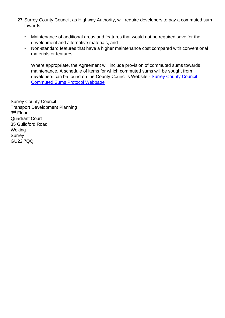- 27.Surrey County Council, as Highway Authority, will require developers to pay a commuted sum towards:
	- Maintenance of additional areas and features that would not be required save for the development and alternative materials, and
	- Non-standard features that have a higher maintenance cost compared with conventional materials or features.

Where appropriate, the Agreement will include provision of commuted sums towards maintenance. A schedule of items for which commuted sums will be sought from developers can be found on the County Council's Website - [Surrey County Council](https://www.surreycc.gov.uk/land-planning-and-development/planning/transport-development/delivery-of-development-highway-works) [Commuted Sums Protocol Webpage](https://www.surreycc.gov.uk/land-planning-and-development/planning/transport-development/delivery-of-development-highway-works)

Surrey County Council Transport Development Planning 3 rd Floor Quadrant Court 35 Guildford Road Woking **Surrey** GU22 7QQ